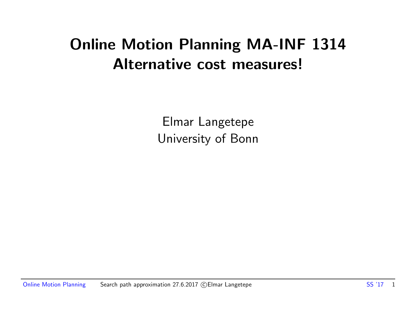# Online Motion Planning MA-INF 1314 Alternative cost measures!

Elmar Langetepe University of Bonn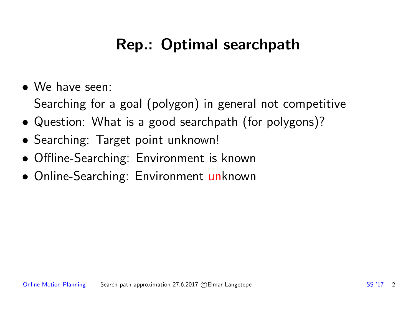# Rep.: Optimal searchpath

- We have seen:
	- Searching for a goal (polygon) in general not competitive
- Question: What is a good searchpath (for polygons)?
- Searching: Target point unknown!
- Offline-Searching: Environment is known
- Online-Searching: Environment unknown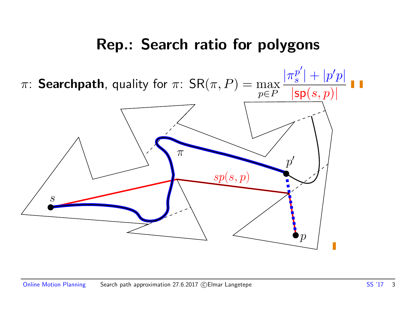### Rep.: Search ratio for polygons

 $|\pi_s^{p'}|$  $\left\vert \frac{p^{\prime }}{s}\right\vert +\left\vert p^{\prime }p\right\vert$ i i  $\pi$ : Searchpath, quality for  $\pi$ :  $\mathsf{SR}(\pi,P) = \max$ 

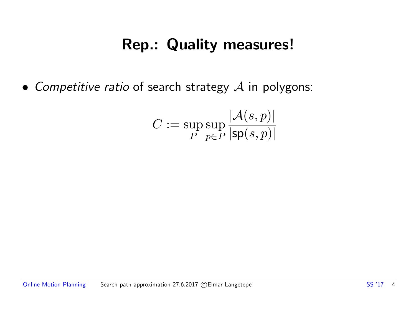## Rep.: Quality measures!

• Competitive ratio of search strategy  $A$  in polygons:

$$
C:=\sup_{P}\sup_{p\in P}\frac{|\mathcal{A}(s,p)|}{|\mathsf{sp}(s,p)|}
$$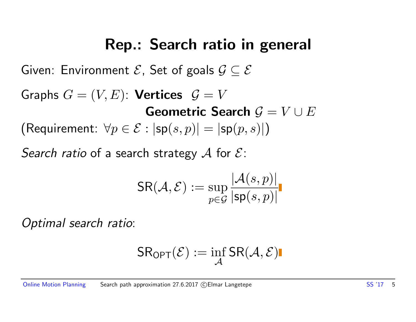### Rep.: Search ratio in general

Given: Environment  $\mathcal{E}$ , Set of goals  $\mathcal{G} \subseteq \mathcal{E}$ 

Graphs  $G = (V, E)$ : Vertices  $\mathcal{G} = V$ Geometric Search  $G = V \cup E$ (Requirement:  $\forall p \in \mathcal{E} : |\mathsf{sp}(s,p)| = |\mathsf{sp}(p,s)|$ )

Search ratio of a search strategy A for  $\mathcal{E}$ :

$$
\mathsf{SR}(\mathcal{A},\mathcal{E}):=\sup_{p\in\mathcal{G}}\frac{|\mathcal{A}(s,p)|}{|\mathsf{sp}(s,p)|}
$$

Optimal search ratio:

$$
\mathsf{SR}_{\mathsf{OPT}}(\mathcal{E}):=\inf_{\mathcal{A}}\mathsf{SR}(\mathcal{A},\mathcal{E})\blacksquare
$$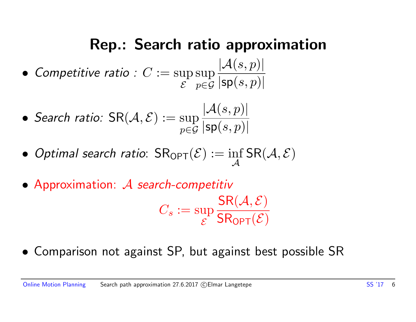# Rep.: Search ratio approximation

- Competitive ratio :  $C := \sup$  $\mathcal E$ sup p∈G  $|\mathcal{A}(s,p)|$  $|\mathsf{sp}(s,p)|$
- Search ratio:  $\mathsf{SR}(\mathcal{A}, \mathcal{E}) := \sup$ p∈G  $|\mathcal{A}(s,p)|$  $|\mathsf{sp}(s,p)|$
- $\bullet$  Optimal search ratio:  $\mathsf{SR}_{\mathsf{OPT}}(\mathcal{E}) := \inf_{\mathcal{A}}$  $\mathcal{A}$  $\mathsf{SR}(\mathcal{A}, \mathcal{E})$
- Approximation: A search-competitiv

$$
C_s := \sup_{\mathcal{E}} \frac{\mathsf{SR}(\mathcal{A}, \mathcal{E})}{\mathsf{SR_{OPT}}(\mathcal{E})}
$$

• Comparison not against SP, but against best possible SR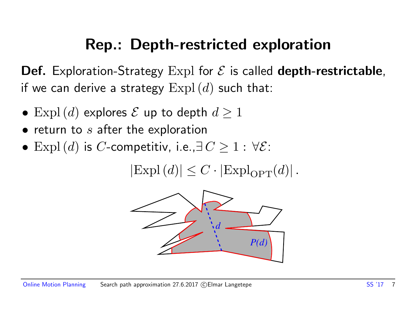# Rep.: Depth-restricted exploration

**Def.** Exploration-Strategy Expl for  $\mathcal E$  is called **depth-restrictable**, if we can derive a strategy  $\text{Expl}\left(d\right)$  such that:

- $\text{Expl}\left(d\right)$  explores  $\mathcal E$  up to depth  $d\geq 1$
- $\bullet$  return to s after the exploration
- Expl(d) is C-competitiv, i.e., $\exists C \geq 1 : \forall \mathcal{E}$ :

 $|\text{Expl}(d)| \leq C \cdot |\text{Expl}_{\text{OPT}}(d)|$ .

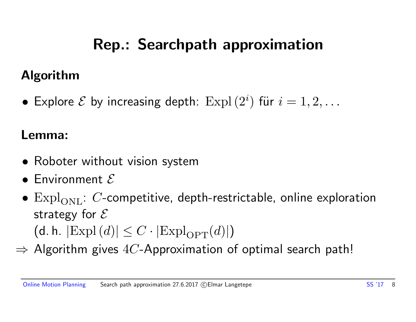# Rep.: Searchpath approximation

#### Algorithm

 $\bullet\,$  Explore  ${\mathcal E}$  by increasing depth:  ${\rm Expl \,}(2^i)$  für  $i=1,2,\ldots$ 

#### Lemma:

- Roboter without vision system
- $\bullet$  Environment  $\mathcal E$
- $\mathrm{Expl}_{\mathrm{ONL}}$ : C-competitive, depth-restrictable, online exploration strategy for  $\mathcal E$ (d. h.  $|\text{Exp}(d)| \leq C \cdot |\text{Exp}|_{\text{OPT}}(d)|$ )
- $\Rightarrow$  Algorithm gives 4C-Approximation of optimal search path!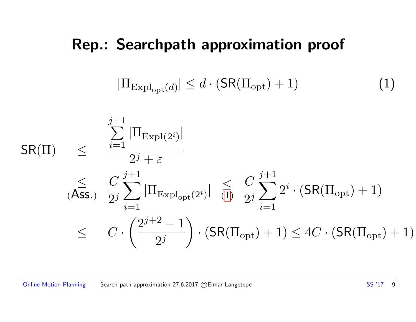#### Rep.: Searchpath approximation proof

<span id="page-8-0"></span>
$$
|\Pi_{\text{Expl}_{\text{opt}}(d)}| \le d \cdot (\mathsf{SR}(\Pi_{\text{opt}}) + 1)
$$
 (1)

$$
\begin{array}{lll} \displaystyle{ \textsf{SR}(\Pi)} & \leq & \displaystyle{ \frac{\sum\limits_{i=1}^{j+1}|\Pi_{\text{Expl}(2^{i})}|}{2^{j}+\varepsilon} } \\ & \leq & \frac{C}{2^{j}} \sum\limits_{i=1}^{j+1}|\Pi_{\text{Expl}_{\text{opt}}(2^{i})}| & \leq & \frac{C}{2^{j}} \sum\limits_{i=1}^{j+1} 2^{i} \cdot (\textsf{SR}(\Pi_{\text{opt}})+1) \\ & \leq & C \cdot \left( \frac{2^{j+2}-1}{2^{j}} \right) \cdot (\textsf{SR}(\Pi_{\text{opt}})+1) \leq 4C \cdot (\textsf{SR}(\Pi_{\text{opt}})+1) \end{array}
$$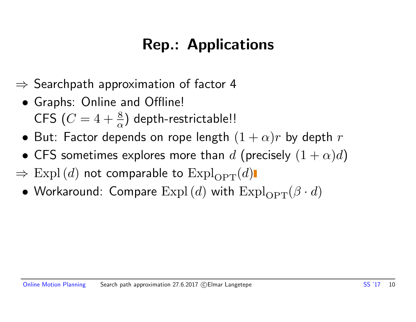# Rep.: Applications

- $\Rightarrow$  Searchpath approximation of factor 4
	- Graphs: Online and Offline! CFS  $(C = 4 + \frac{8}{\alpha})$  depth-restrictable!!
	- But: Factor depends on rope length  $(1 + \alpha)r$  by depth  $r$
	- CFS sometimes explores more than d (precisely  $(1 + \alpha)d$ )
- $\Rightarrow$  Expl(d) not comparable to Expl<sub>OPT</sub>(d)
	- Workaround: Compare  $\mathrm{Expl}(d)$  with  $\mathrm{Expl}_{\mathrm{OPT}}(\beta \cdot d)$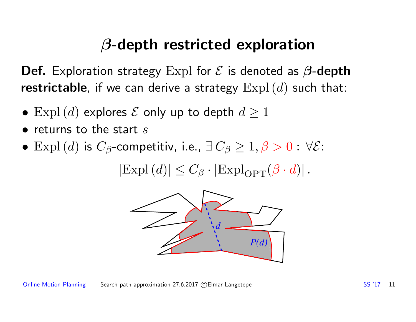# β-depth restricted exploration

**Def.** Exploration strategy Expl for  $\mathcal E$  is denoted as  $\beta$ -depth restrictable, if we can derive a strategy  $\text{Expl}(d)$  such that:

- Expl(d) explores  $\mathcal E$  only up to depth  $d\geq 1$
- $\bullet$  returns to the start s
- Expl(d) is  $C_\beta$ -competitiv, i.e.,  $\exists C_\beta \geq 1, \beta > 0$ :  $\forall \mathcal{E}$ :

 $|\text{Expl}(d)| \leq C_{\beta} \cdot |\text{Expl}_{\text{OPT}}(\beta \cdot d)|$ .

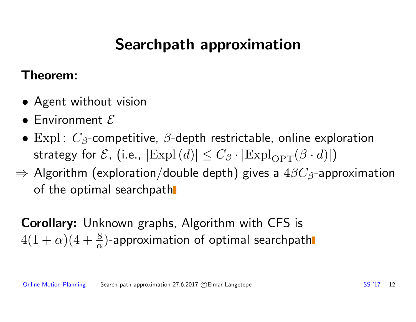# Searchpath approximation

#### Theorem:

- Agent without vision
- $\bullet$  Environment  $\mathcal E$
- Expl:  $C_{\beta}$ -competitive,  $\beta$ -depth restrictable, online exploration strategy for  $\mathcal{E}$ , (i.e.,  $|\text{Expl}(d)| \leq C_{\beta} \cdot |\text{Expl}_{\text{OPT}}(\beta \cdot d)|$ )
- $\Rightarrow$  Algorithm (exploration/double depth) gives a  $4\beta C_{\beta}$ -approximation of the optimal searchpath

Corollary: Unknown graphs, Algorithm with CFS is  $4(1+\alpha)(4+\frac{8}{\alpha})$ -approximation of optimal searchpath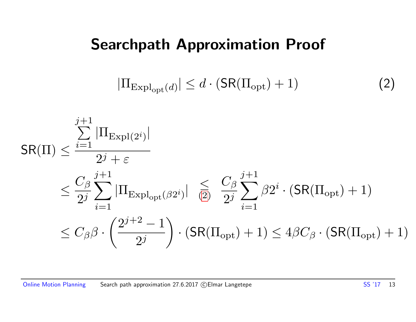### Searchpath Approximation Proof

<span id="page-12-0"></span>
$$
|\Pi_{\text{Expl}_{\text{opt}}(d)}| \le d \cdot (\mathsf{SR}(\Pi_{\text{opt}}) + 1)
$$
 (2)

$$
\begin{split} \mathsf{SR}(\Pi) &\leq \frac{\sum\limits_{i=1}^{j+1}|\Pi_{\mathrm{Expl}(2^i)}|}{2^j+\varepsilon} \\ &\leq \frac{C_\beta}{2^j}\sum\limits_{i=1}^{j+1}|\Pi_{\mathrm{Expl}_{\mathrm{opt}}(\beta 2^i)}| \leq \frac{C_\beta}{2^j}\sum\limits_{i=1}^{j+1}\beta 2^i \cdot (\mathsf{SR}(\Pi_{\mathrm{opt}})+1) \\ &\leq C_\beta\beta \cdot \left(\frac{2^{j+2}-1}{2^j}\right) \cdot (\mathsf{SR}(\Pi_{\mathrm{opt}})+1) \leq 4\beta C_\beta \cdot (\mathsf{SR}(\Pi_{\mathrm{opt}})+1) \end{split}
$$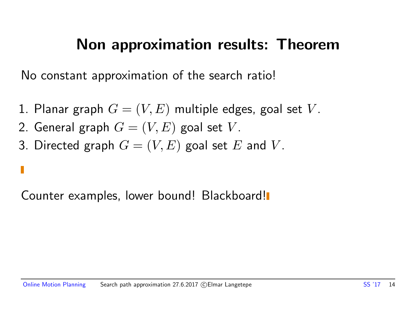### Non approximation results: Theorem

No constant approximation of the search ratio!

- 1. Planar graph  $G = (V, E)$  multiple edges, goal set V.
- 2. General graph  $G = (V, E)$  goal set V.
- 3. Directed graph  $G = (V, E)$  goal set E and V.

Counter examples, lower bound! Blackboard!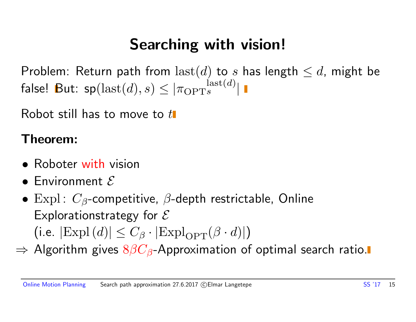# Searching with vision!

Problem: Return path from  $\text{last}(d)$  to s has length  $\leq d$ , might be false! But:  $\mathsf{sp}(\operatorname{last}(d),s) \le |\pi_{\text{OPT} s}^{\operatorname{last}(d)}|$ 

Robot still has to move to  $t\mathbf{I}$ 

#### Theorem:

- Roboter with vision
- $\bullet$  Environment  $\mathcal E$
- Expl:  $C_{\beta}$ -competitive,  $\beta$ -depth restrictable, Online Explorationstrategy for  $\mathcal E$ (i.e.  $|\text{Expl}(d)| \leq C_\beta \cdot |\text{Expl}_{\text{OPT}}(\beta \cdot d)|$ )
- $\Rightarrow$  Algorithm gives  $8\beta C_{\beta}$ -Approximation of optimal search ratio.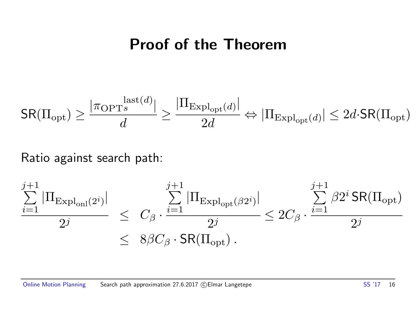#### Proof of the Theorem

$$
\mathsf{SR}(\Pi_{\mathrm{opt}}) \geq \frac{|\pi_{\mathrm{OPT}^s}^{\mathrm{last}(d)}|}{d} \geq \frac{|\Pi_{\mathrm{Expl}_{\mathrm{opt}}(d)}|}{2d} \Leftrightarrow |\Pi_{\mathrm{Expl}_{\mathrm{opt}}(d)}| \leq 2d\cdot \mathsf{SR}(\Pi_{\mathrm{opt}})
$$

#### Ratio against search path:

$$
\frac{\sum_{i=1}^{j+1} |\Pi_{\text{Expl}_{\text{onl}}(2^i)}|}{2^j} \leq C_{\beta} \cdot \frac{\sum_{i=1}^{j+1} |\Pi_{\text{Expl}_{\text{opt}}(\beta 2^i)}|}{2^j} \leq 2C_{\beta} \cdot \frac{\sum_{i=1}^{j+1} \beta 2^i \text{SR}(\Pi_{\text{opt}})}{2^j}
$$
\n
$$
\leq 8\beta C_{\beta} \cdot \text{SR}(\Pi_{\text{opt}}).
$$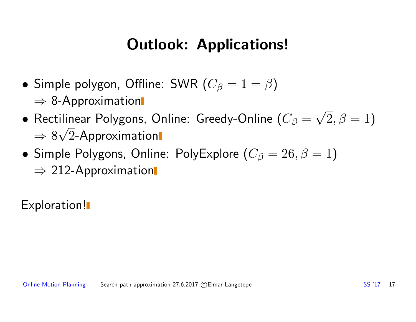# Outlook: Applications!

- Simple polygon, Offline: SWR  $(C_\beta = 1 = \beta)$  $\Rightarrow$  8-Approximation
- $\bullet$  Rectilinear Polygons, Online: Greedy-Online ( $C_\beta=$ √  $(2,\beta=1)$  $\Rightarrow 8\sqrt{2}$ -Approximation √
- Simple Polygons, Online: PolyExplore  $(C_\beta = 26, \beta = 1)$  $\Rightarrow$  212-Approximation

Exploration!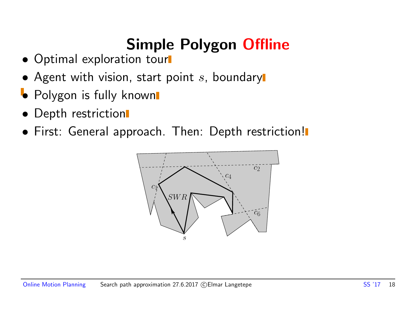# Simple Polygon Offline

- Optimal exploration tour
- Agent with vision, start point  $s$ , boundary
- Polygon is fully known
- Depth restriction
- **First: General approach. Then: Depth restriction!**

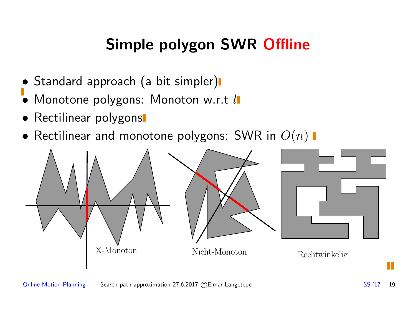# Simple polygon SWR Offline

- Standard approach (a bit simpler)
- Monotone polygons: Monoton w.r.t l
- Rectilinear polygons
- Rectilinear and monotone polygons: SWR in  $O(n)$   $\blacksquare$

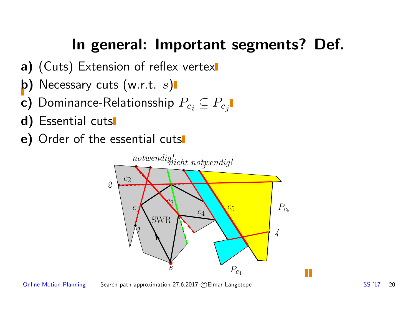# In general: Important segments? Def.

- a) (Cuts) Extension of reflex vertex
- b) Necessary cuts  $(w.r.t. s)$
- c) Dominance-Relationsship  $P_{c_i} \subseteq P_{c_j}$
- d) Essential cuts
- e) Order of the essential cuts

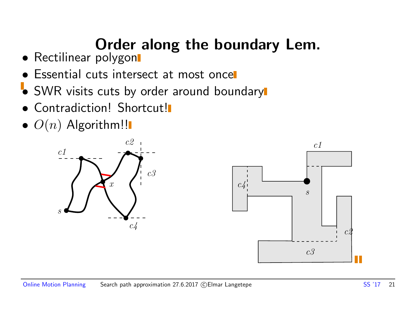# Order along the boundary Lem.

- Rectilinear polygon
- Essential cuts intersect at most once
- SWR visits cuts by order around boundary
- **Contradiction! Shortcut!**
- $\bullet$   $O(n)$  Algorithm!!



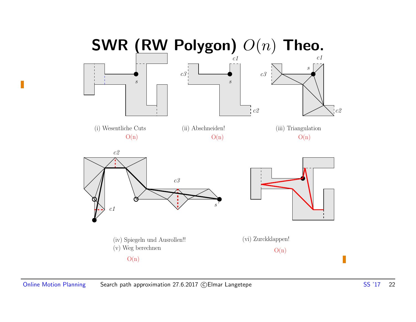

П